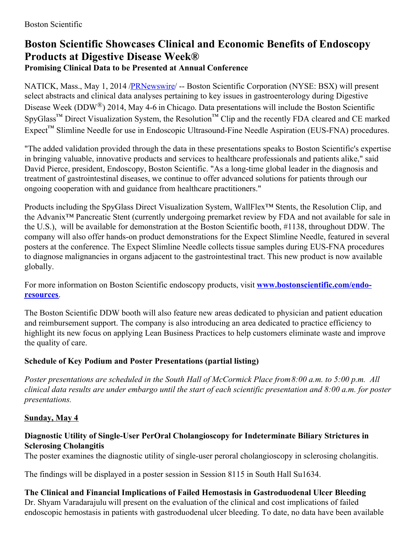# **Boston Scientific Showcases Clinical and Economic Benefits of Endoscopy Products at Digestive Disease Week® Promising Clinical Data to be Presented at Annual Conference**

NATICK, Mass., May 1, 2014 [/PRNewswire](http://www.prnewswire.com/)/ -- Boston Scientific Corporation (NYSE: BSX) will present select abstracts and clinical data analyses pertaining to key issues in gastroenterology during Digestive Disease Week (DDW<sup>®</sup>) 2014, May 4-6 in Chicago. Data presentations will include the Boston Scientific SpyGlass<sup>™</sup> Direct Visualization System, the Resolution<sup>™</sup> Clip and the recently FDA cleared and CE marked Expect™ Slimline Needle for use in Endoscopic Ultrasound-Fine Needle Aspiration (EUS-FNA) procedures.

"The added validation provided through the data in these presentations speaks to Boston Scientific's expertise in bringing valuable, innovative products and services to healthcare professionals and patients alike," said David Pierce, president, Endoscopy, Boston Scientific. "As a long-time global leader in the diagnosis and treatment of gastrointestinal diseases, we continue to offer advanced solutions for patients through our ongoing cooperation with and guidance from healthcare practitioners."

Products including the SpyGlass Direct Visualization System, WallFlex™ Stents, the Resolution Clip, and the Advanix™ Pancreatic Stent (currently undergoing premarket review by FDA and not available for sale in the U.S.), will be available for demonstration at the Boston Scientific booth, #1138, throughout DDW. The company will also offer hands-on product demonstrations for the Expect Slimline Needle, featured in several posters at the conference. The Expect Slimline Needle collects tissue samples during EUS-FNA procedures to diagnose malignancies in organs adjacent to the gastrointestinal tract. This new product is now available globally.

For more information on Boston Scientific endoscopy products, visit **[www.bostonscientific.com/endo](http://www.bostonscientific.com/endo-resources)resources**.

The Boston Scientific DDW booth will also feature new areas dedicated to physician and patient education and reimbursement support. The company is also introducing an area dedicated to practice efficiency to highlight its new focus on applying Lean Business Practices to help customers eliminate waste and improve the quality of care.

# **Schedule of Key Podium and Poster Presentations (partial listing)**

*Poster presentations are scheduled in the South Hall of McCormick Place from8:00 a.m. to 5:00 p.m. All* clinical data results are under embargo until the start of each scientific presentation and 8:00 a.m. for poster *presentations.*

# **Sunday, May 4**

### **Diagnostic Utility of Single-User PerOral Cholangioscopy for Indeterminate Biliary Strictures in Sclerosing Cholangitis**

The poster examines the diagnostic utility of single-user peroral cholangioscopy in sclerosing cholangitis.

The findings will be displayed in a poster session in Session 8115 in South Hall Su1634.

#### **The Clinical and Financial Implications of Failed Hemostasis in Gastroduodenal Ulcer Bleeding** Dr. Shyam Varadarajulu will present on the evaluation of the clinical and cost implications of failed

endoscopic hemostasis in patients with gastroduodenal ulcer bleeding. To date, no data have been available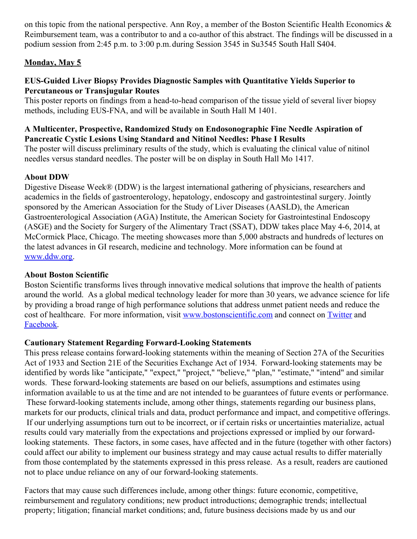on this topic from the national perspective. Ann Roy, a member of the Boston Scientific Health Economics & Reimbursement team, was a contributor to and a co-author of this abstract. The findings will be discussed in a podium session from 2:45 p.m. to 3:00 p.m.during Session 3545 in Su3545 South Hall S404.

### **Monday, May 5**

### **EUS-Guided Liver Biopsy Provides Diagnostic Samples with Quantitative Yields Superior to Percutaneous or Transjugular Routes**

This poster reports on findings from a head-to-head comparison of the tissue yield of several liver biopsy methods, including EUS-FNA, and will be available in South Hall M 1401.

#### **A Multicenter, Prospective, Randomized Study on Endosonographic Fine Needle Aspiration of Pancreatic Cystic Lesions Using Standard and Nitinol Needles: Phase I Results**

The poster will discuss preliminary results of the study, which is evaluating the clinical value of nitinol needles versus standard needles. The poster will be on display in South Hall Mo 1417.

## **About DDW**

Digestive Disease Week® (DDW) is the largest international gathering of physicians, researchers and academics in the fields of gastroenterology, hepatology, endoscopy and gastrointestinal surgery. Jointly sponsored by the American Association for the Study of Liver Diseases (AASLD), the American Gastroenterological Association (AGA) Institute, the American Society for Gastrointestinal Endoscopy (ASGE) and the Society for Surgery of the Alimentary Tract (SSAT), DDW takes place May 4-6, 2014, at McCormick Place, Chicago. The meeting showcases more than 5,000 abstracts and hundreds of lectures on the latest advances in GI research, medicine and technology. More information can be found at [www.ddw.org](http://www.ddw.org/).

### **About Boston Scientific**

Boston Scientific transforms lives through innovative medical solutions that improve the health of patients around the world. As a global medical technology leader for more than 30 years, we advance science for life by providing a broad range of high performance solutions that address unmet patient needs and reduce the cost of healthcare. For more information, visit [www.bostonscientific.com](http://www.bostonscientific.com/) and connect on [Twitter](http://twitter.com/bostonsci) and [Facebook](http://www.facebook.com/bostonscientific).

### **Cautionary Statement Regarding Forward-Looking Statements**

This press release contains forward-looking statements within the meaning of Section 27A of the Securities Act of 1933 and Section 21E of the Securities Exchange Act of 1934. Forward-looking statements may be identified by words like "anticipate," "expect," "project," "believe," "plan," "estimate," "intend" and similar words. These forward-looking statements are based on our beliefs, assumptions and estimates using information available to us at the time and are not intended to be guarantees of future events or performance. These forward-looking statements include, among other things, statements regarding our business plans, markets for our products, clinical trials and data, product performance and impact, and competitive offerings. If our underlying assumptions turn out to be incorrect, or if certain risks or uncertainties materialize, actual results could vary materially from the expectations and projections expressed or implied by our forwardlooking statements. These factors, in some cases, have affected and in the future (together with other factors) could affect our ability to implement our business strategy and may cause actual results to differ materially from those contemplated by the statements expressed in this press release. As a result, readers are cautioned not to place undue reliance on any of our forward-looking statements.

Factors that may cause such differences include, among other things: future economic, competitive, reimbursement and regulatory conditions; new product introductions; demographic trends; intellectual property; litigation; financial market conditions; and, future business decisions made by us and our